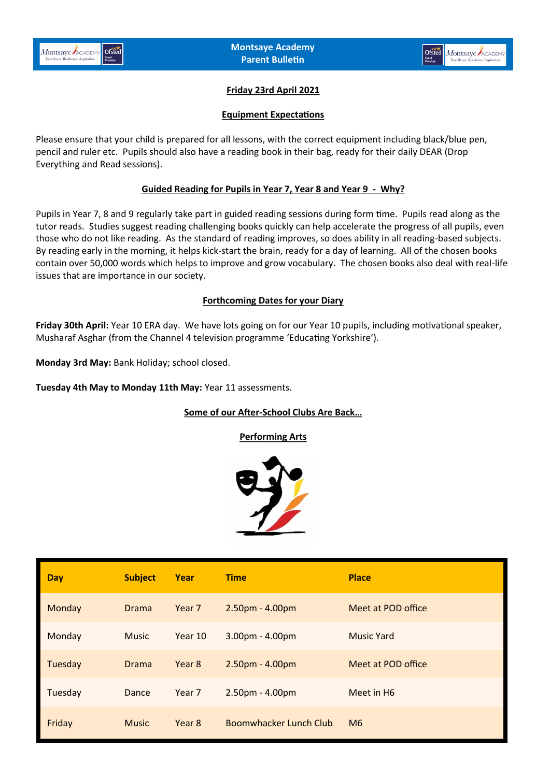

# **Friday 23rd April 2021**

### **Equipment Expectations**

Please ensure that your child is prepared for all lessons, with the correct equipment including black/blue pen, pencil and ruler etc. Pupils should also have a reading book in their bag, ready for their daily DEAR (Drop Everything and Read sessions).

## **Guided Reading for Pupils in Year 7, Year 8 and Year 9 - Why?**

Pupils in Year 7, 8 and 9 regularly take part in guided reading sessions during form time. Pupils read along as the tutor reads. Studies suggest reading challenging books quickly can help accelerate the progress of all pupils, even those who do not like reading. As the standard of reading improves, so does ability in all reading-based subjects. By reading early in the morning, it helps kick-start the brain, ready for a day of learning. All of the chosen books contain over 50,000 words which helps to improve and grow vocabulary. The chosen books also deal with real-life issues that are importance in our society.

## **Forthcoming Dates for your Diary**

**Friday 30th April:** Year 10 ERA day. We have lots going on for our Year 10 pupils, including motivational speaker, Musharaf Asghar (from the Channel 4 television programme 'Educating Yorkshire').

**Monday 3rd May:** Bank Holiday; school closed.

**Tuesday 4th May to Monday 11th May:** Year 11 assessments[.](mailto:data@montsaye.northants.sch.uk)

### **Some of our After-School Clubs Are Back…**

**Performing Arts**



| <b>Day</b> | <b>Subject</b> | Year              | <b>Time</b>            | <b>Place</b>           |
|------------|----------------|-------------------|------------------------|------------------------|
| Monday     | <b>Drama</b>   | Year <sub>7</sub> | $2.50pm - 4.00pm$      | Meet at POD office     |
| Monday     | <b>Music</b>   | Year 10           | $3.00pm - 4.00pm$      | Music Yard             |
| Tuesday    | <b>Drama</b>   | Year 8            | $2.50pm - 4.00pm$      | Meet at POD office     |
| Tuesday    | Dance          | Year <sub>7</sub> | 2.50pm - 4.00pm        | Meet in H <sub>6</sub> |
| Friday     | <b>Music</b>   | Year 8            | Boomwhacker Lunch Club | M6                     |